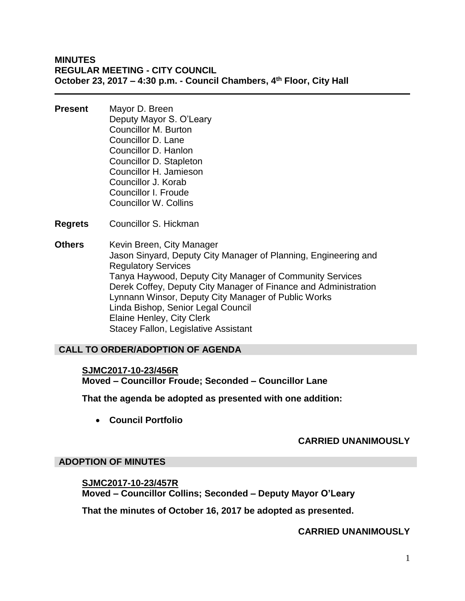## **MINUTES REGULAR MEETING - CITY COUNCIL October 23, 2017 – 4:30 p.m. - Council Chambers, 4th Floor, City Hall**

- **Present** Mayor D. Breen Deputy Mayor S. O'Leary Councillor M. Burton Councillor D. Lane Councillor D. Hanlon Councillor D. Stapleton Councillor H. Jamieson Councillor J. Korab Councillor I. Froude Councillor W. Collins
- **Regrets** Councillor S. Hickman
- **Others** Kevin Breen, City Manager Jason Sinyard, Deputy City Manager of Planning, Engineering and Regulatory Services Tanya Haywood, Deputy City Manager of Community Services Derek Coffey, Deputy City Manager of Finance and Administration Lynnann Winsor, Deputy City Manager of Public Works Linda Bishop, Senior Legal Council Elaine Henley, City Clerk Stacey Fallon, Legislative Assistant

#### **CALL TO ORDER/ADOPTION OF AGENDA**

**SJMC2017-10-23/456R Moved – Councillor Froude; Seconded – Councillor Lane**

**That the agenda be adopted as presented with one addition:**

**Council Portfolio**

#### **CARRIED UNANIMOUSLY**

#### **ADOPTION OF MINUTES**

**SJMC2017-10-23/457R Moved – Councillor Collins; Seconded – Deputy Mayor O'Leary**

**That the minutes of October 16, 2017 be adopted as presented.**

#### **CARRIED UNANIMOUSLY**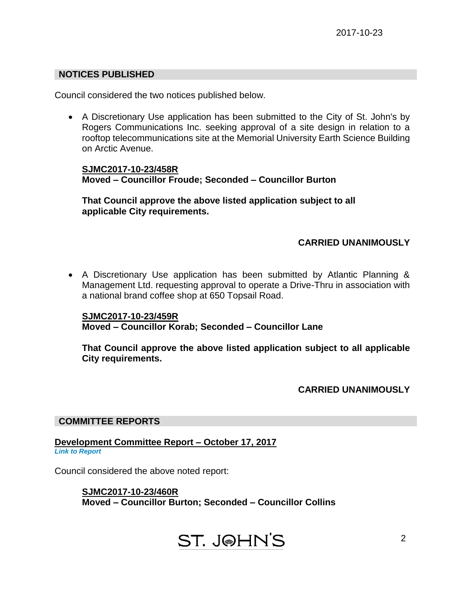# **NOTICES PUBLISHED**

Council considered the two notices published below.

 A Discretionary Use application has been submitted to the City of St. John's by Rogers Communications Inc. seeking approval of a site design in relation to a rooftop telecommunications site at the Memorial University Earth Science Building on Arctic Avenue.

**SJMC2017-10-23/458R Moved – Councillor Froude; Seconded – Councillor Burton**

**That Council approve the above listed application subject to all applicable City requirements.**

# **CARRIED UNANIMOUSLY**

 A Discretionary Use application has been submitted by Atlantic Planning & Management Ltd. requesting approval to operate a Drive-Thru in association with a national brand coffee shop at 650 Topsail Road.

**SJMC2017-10-23/459R Moved – Councillor Korab; Seconded – Councillor Lane**

**That Council approve the above listed application subject to all applicable City requirements.**

**CARRIED UNANIMOUSLY**

2

#### **COMMITTEE REPORTS**

**Development Committee Report – October 17, 2017** *[Link to Report](#page-7-0)*

Council considered the above noted report:

**SJMC2017-10-23/460R Moved – Councillor Burton; Seconded – Councillor Collins**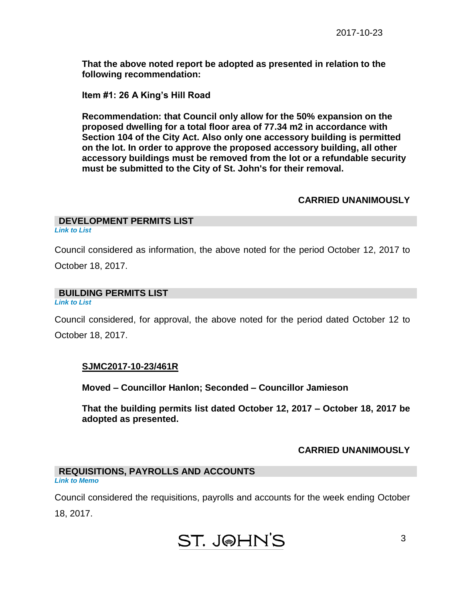**That the above noted report be adopted as presented in relation to the following recommendation:**

**Item #1: 26 A King's Hill Road** 

**Recommendation: that Council only allow for the 50% expansion on the proposed dwelling for a total floor area of 77.34 m2 in accordance with Section 104 of the City Act. Also only one accessory building is permitted on the lot. In order to approve the proposed accessory building, all other accessory buildings must be removed from the lot or a refundable security must be submitted to the City of St. John's for their removal.**

#### **CARRIED UNANIMOUSLY**

## **DEVELOPMENT PERMITS LIST**

*[Link to List](#page-8-0)*

Council considered as information, the above noted for the period October 12, 2017 to

October 18, 2017.

### **BUILDING PERMITS LIST**

*[Link to List](#page-9-0)*

Council considered, for approval, the above noted for the period dated October 12 to October 18, 2017.

# **SJMC2017-10-23/461R**

**Moved – Councillor Hanlon; Seconded – Councillor Jamieson**

**That the building permits list dated October 12, 2017 – October 18, 2017 be adopted as presented.**

# **CARRIED UNANIMOUSLY**

#### **REQUISITIONS, PAYROLLS AND ACCOUNTS** *[Link to Memo](#page-11-0)*

Council considered the requisitions, payrolls and accounts for the week ending October 18, 2017.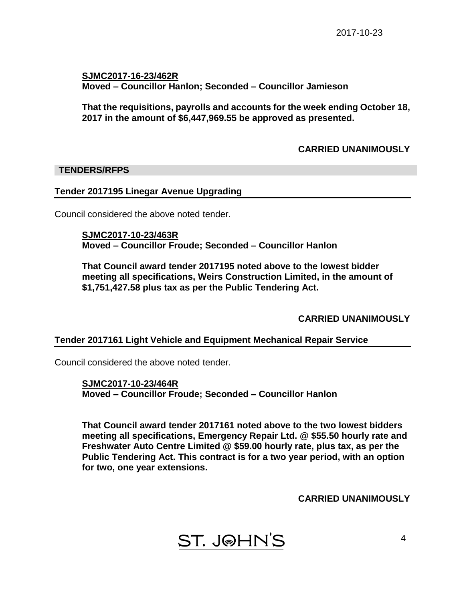**SJMC2017-16-23/462R Moved – Councillor Hanlon; Seconded – Councillor Jamieson**

**That the requisitions, payrolls and accounts for the week ending October 18, 2017 in the amount of \$6,447,969.55 be approved as presented.**

# **CARRIED UNANIMOUSLY**

### **TENDERS/RFPS**

### **Tender 2017195 Linegar Avenue Upgrading**

Council considered the above noted tender.

**SJMC2017-10-23/463R Moved – Councillor Froude; Seconded – Councillor Hanlon**

**That Council award tender 2017195 noted above to the lowest bidder meeting all specifications, Weirs Construction Limited, in the amount of \$1,751,427.58 plus tax as per the Public Tendering Act.**

**CARRIED UNANIMOUSLY**

# **Tender 2017161 Light Vehicle and Equipment Mechanical Repair Service**

Council considered the above noted tender.

**SJMC2017-10-23/464R Moved – Councillor Froude; Seconded – Councillor Hanlon**

**That Council award tender 2017161 noted above to the two lowest bidders meeting all specifications, Emergency Repair Ltd. @ \$55.50 hourly rate and Freshwater Auto Centre Limited @ \$59.00 hourly rate, plus tax, as per the Public Tendering Act. This contract is for a two year period, with an option for two, one year extensions.**

**CARRIED UNANIMOUSLY**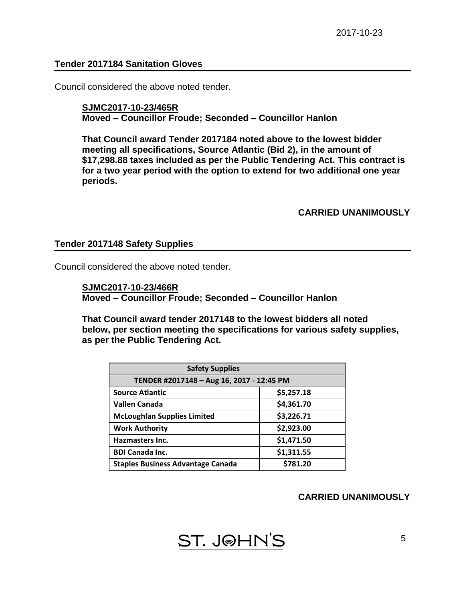#### **Tender 2017184 Sanitation Gloves**

Council considered the above noted tender.

#### **SJMC2017-10-23/465R Moved – Councillor Froude; Seconded – Councillor Hanlon**

**That Council award Tender 2017184 noted above to the lowest bidder meeting all specifications, Source Atlantic (Bid 2), in the amount of \$17,298.88 taxes included as per the Public Tendering Act. This contract is for a two year period with the option to extend for two additional one year periods.**

#### **CARRIED UNANIMOUSLY**

#### **Tender 2017148 Safety Supplies**

Council considered the above noted tender.

**SJMC2017-10-23/466R Moved – Councillor Froude; Seconded – Councillor Hanlon**

**That Council award tender 2017148 to the lowest bidders all noted below, per section meeting the specifications for various safety supplies, as per the Public Tendering Act.**

| <b>Safety Supplies</b>                    |            |  |
|-------------------------------------------|------------|--|
| TENDER #2017148 - Aug 16, 2017 - 12:45 PM |            |  |
| <b>Source Atlantic</b>                    | \$5,257.18 |  |
| <b>Vallen Canada</b>                      | \$4,361.70 |  |
| <b>McLoughlan Supplies Limited</b>        | \$3,226.71 |  |
| <b>Work Authority</b>                     | \$2,923.00 |  |
| Hazmasters Inc.                           | \$1,471.50 |  |
| <b>BDI Canada Inc.</b>                    | \$1,311.55 |  |
| <b>Staples Business Advantage Canada</b>  | \$781.20   |  |

#### **CARRIED UNANIMOUSLY**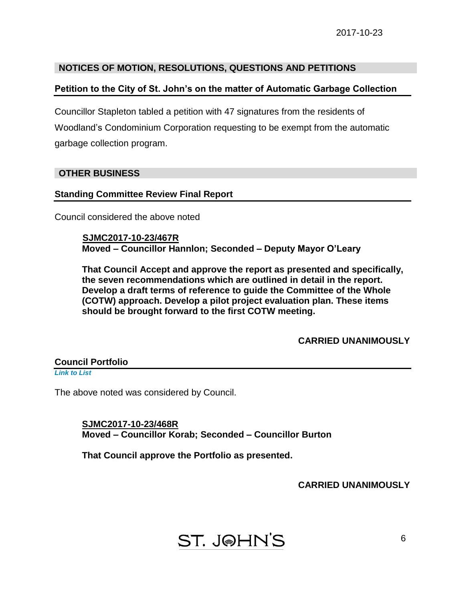# **NOTICES OF MOTION, RESOLUTIONS, QUESTIONS AND PETITIONS**

# **Petition to the City of St. John's on the matter of Automatic Garbage Collection**

Councillor Stapleton tabled a petition with 47 signatures from the residents of Woodland's Condominium Corporation requesting to be exempt from the automatic garbage collection program.

# **OTHER BUSINESS**

# **Standing Committee Review Final Report**

Council considered the above noted

 **SJMC2017-10-23/467R Moved – Councillor Hannlon; Seconded – Deputy Mayor O'Leary**

**That Council Accept and approve the report as presented and specifically, the seven recommendations which are outlined in detail in the report. Develop a draft terms of reference to guide the Committee of the Whole (COTW) approach. Develop a pilot project evaluation plan. These items should be brought forward to the first COTW meeting.**

# **CARRIED UNANIMOUSLY**

**Council Portfolio**  *[Link to List](#page-12-0)*

The above noted was considered by Council.

**SJMC2017-10-23/468R Moved – Councillor Korab; Seconded – Councillor Burton**

**That Council approve the Portfolio as presented.**

# **CARRIED UNANIMOUSLY**

# **ST. J@HN'S**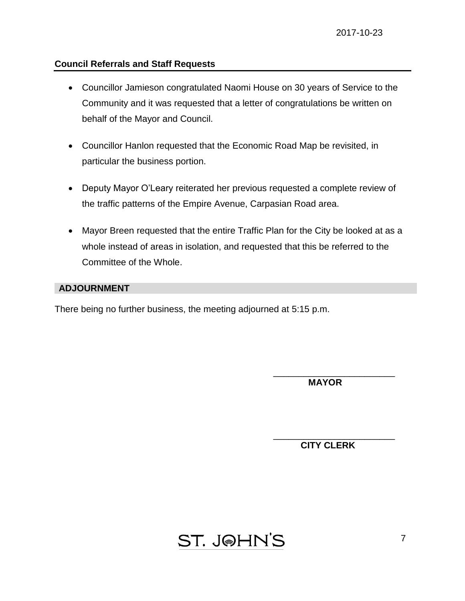# **Council Referrals and Staff Requests**

- Councillor Jamieson congratulated Naomi House on 30 years of Service to the Community and it was requested that a letter of congratulations be written on behalf of the Mayor and Council.
- Councillor Hanlon requested that the Economic Road Map be revisited, in particular the business portion.
- Deputy Mayor O'Leary reiterated her previous requested a complete review of the traffic patterns of the Empire Avenue, Carpasian Road area.
- Mayor Breen requested that the entire Traffic Plan for the City be looked at as a whole instead of areas in isolation, and requested that this be referred to the Committee of the Whole.

# **ADJOURNMENT**

There being no further business, the meeting adjourned at 5:15 p.m.

 **MAYOR**

\_\_\_\_\_\_\_\_\_\_\_\_\_\_\_\_\_\_\_\_\_\_\_\_

\_\_\_\_\_\_\_\_\_\_\_\_\_\_\_\_\_\_\_\_\_\_\_\_ **CITY CLERK**

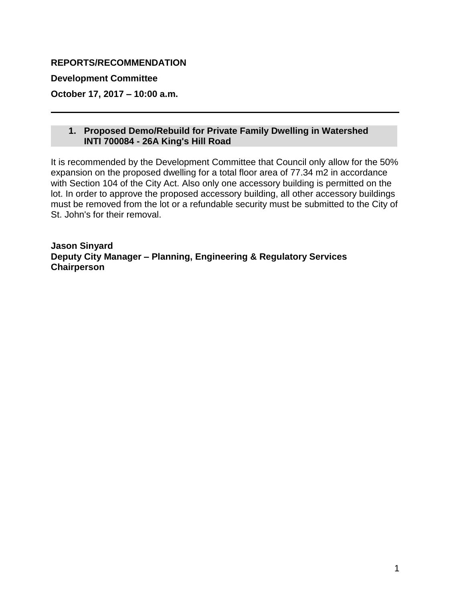# <span id="page-7-0"></span>**REPORTS/RECOMMENDATION**

**Development Committee**

**October 17, 2017 – 10:00 a.m.**

# **1. Proposed Demo/Rebuild for Private Family Dwelling in Watershed INTI 700084 - 26A King's Hill Road**

It is recommended by the Development Committee that Council only allow for the 50% expansion on the proposed dwelling for a total floor area of 77.34 m2 in accordance with Section 104 of the City Act. Also only one accessory building is permitted on the lot. In order to approve the proposed accessory building, all other accessory buildings must be removed from the lot or a refundable security must be submitted to the City of St. John's for their removal.

**Jason Sinyard Deputy City Manager – Planning, Engineering & Regulatory Services Chairperson**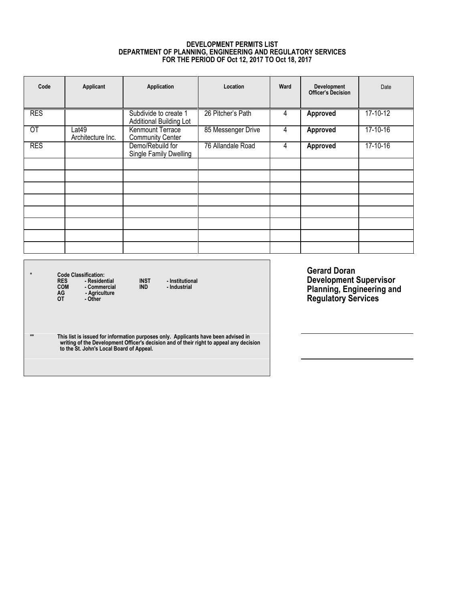#### **DEVELOPMENT PERMITS LIST DEPARTMENT OF PLANNING, ENGINEERING AND REGULATORY SERVICES FOR THE PERIOD OF Oct 12, 2017 TO Oct 18, 2017**

<span id="page-8-0"></span>

| Code            | Applicant                  | Application                                             | Location           | Ward | <b>Development</b><br><b>Officer's Decision</b> | Date     |
|-----------------|----------------------------|---------------------------------------------------------|--------------------|------|-------------------------------------------------|----------|
| <b>RES</b>      |                            | Subdivide to create 1<br><b>Additional Building Lot</b> | 26 Pitcher's Path  | 4    | <b>Approved</b>                                 | 17-10-12 |
| $\overline{OT}$ | Lat49<br>Architecture Inc. | Kenmount Terrace<br><b>Community Center</b>             | 85 Messenger Drive | 4    | Approved                                        | 17-10-16 |
| <b>RES</b>      |                            | Demo/Rebuild for<br>Single Family Dwelling              | 76 Allandale Road  | 4    | Approved                                        | 17-10-16 |
|                 |                            |                                                         |                    |      |                                                 |          |
|                 |                            |                                                         |                    |      |                                                 |          |
|                 |                            |                                                         |                    |      |                                                 |          |
|                 |                            |                                                         |                    |      |                                                 |          |
|                 |                            |                                                         |                    |      |                                                 |          |
|                 |                            |                                                         |                    |      |                                                 |          |
|                 |                            |                                                         |                    |      |                                                 |          |
|                 |                            |                                                         |                    |      |                                                 |          |

\* Code Classification:<br>RES - Residential INST - Institutional<br>COM - Commercial IND - Industrial<br>AG - Agriculture<br>OT - Other

\*\* This list is issued for information purposes only. Applicants have been advised in<br>writing of the Development Officer's decision and of their right to appeal any decision<br>to the St. John's Local Board of Appeal.

**Gerard Doran Development Supervisor Planning, Engineering and Regulatory Services**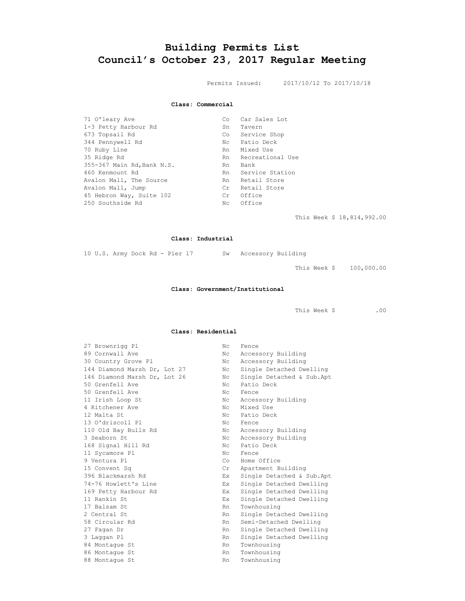# <span id="page-9-0"></span>**Building Permits List Council's October 23, 2017 Regular Meeting**

Permits Issued: 2017/10/12 To 2017/10/18

**Class: Commercial**

| 71 O'leary Ave             | Co.  | Car Sales Lot    |
|----------------------------|------|------------------|
| 1-3 Petty Harbour Rd       | Sn   | Tavern           |
| 673 Topsail Rd             | Co i | Service Shop     |
| 344 Pennywell Rd           | Nc   | Patio Deck       |
| 70 Ruby Line               | Rn   | Mixed Use        |
| 35 Ridge Rd                | Rn   | Recreational Use |
| 355-367 Main Rd, Bank N.S. | Rn.  | Bank             |
| 460 Kenmount Rd            | Rn   | Service Station  |
| Avalon Mall, The Source    | Rn   | Retail Store     |
| Avalon Mall, Jump          | Cr   | Retail Store     |
| 45 Hebron Way, Suite 102   | Cr   | Office           |
| 250 Southside Rd           | Nc   | Office           |

This Week \$ 18,814,992.00

#### **Class: Industrial**

10 U.S. Army Dock Rd - Pier 17 Sw Accessory Building

This Week \$ 100,000.00

#### **Class: Government/Institutional**

This Week \$ .00

#### **Class: Residential**

| 27 Brownrigg Pl              | Nc.                        | Fence                      |
|------------------------------|----------------------------|----------------------------|
| 89 Cornwall Ave              | Nc.                        | Accessory Building         |
| 30 Country Grove Pl          | Nc.                        | Accessory Building         |
| 144 Diamond Marsh Dr, Lot 27 | Nc                         | Single Detached Dwelling   |
| 146 Diamond Marsh Dr, Lot 26 | Nc.                        | Single Detached & Sub. Apt |
| 50 Grenfell Ave              | Nc.                        | Patio Deck                 |
| 50 Grenfell Ave              | Nc.                        | Fence                      |
| 11 Irish Loop St             | N <sub>C</sub>             | Accessory Building         |
| 4 Kitchener Ave              | Nc.                        | Mixed Use                  |
| 12 Malta St                  | Nc.                        | Patio Deck                 |
| 13 O'driscoll Pl             | Nc                         | Fence                      |
| 110 Old Bay Bulls Rd         | Nc                         | Accessory Building         |
| 3 Seaborn St.                | Nc                         | Accessory Building         |
| 168 Signal Hill Rd           | Nc.                        | Patio Deck                 |
| 11 Sycamore Pl               | $N_{\rm C}$                | Fence                      |
| 9 Ventura Pl                 | Co                         | Home Office                |
| 15 Convent Sq                | $\mathop{\rm Cr}\nolimits$ | Apartment Building         |
| 396 Blackmarsh Rd            | Ex                         | Single Detached & Sub. Apt |
| 74-76 Howlett's Line         | Ex                         | Single Detached Dwelling   |
| 169 Petty Harbour Rd         | Ex.                        | Single Detached Dwelling   |
| 11 Rankin St                 | Ex.                        | Single Detached Dwelling   |
| 17 Balsam St                 | Rn                         | Townhousing                |
| 2 Central St                 | Rn                         | Single Detached Dwelling   |
| 58 Circular Rd               | Rn                         | Semi-Detached Dwelling     |
| 27 Fagan Dr                  | Rn                         | Single Detached Dwelling   |
| 3 Laqqan Pl                  | Rn                         | Single Detached Dwelling   |
| 84 Montaque St               | Rn                         | Townhousing                |
| 86 Montaque St               | Rn                         | Townhousing                |
| 88 Montague St               | Rn.                        | Townhousing                |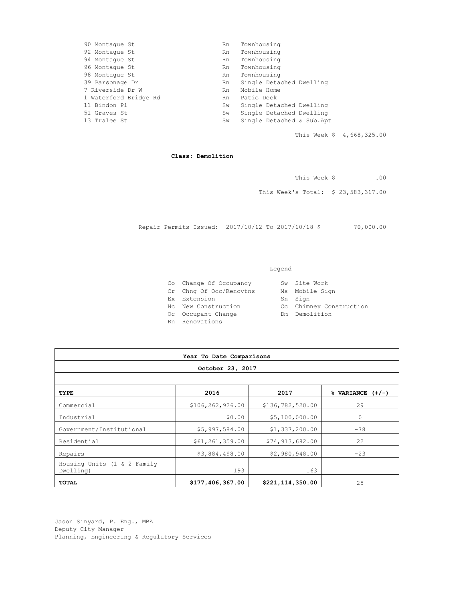| 90 Montaque St        | Rn. | Townhousing               |
|-----------------------|-----|---------------------------|
| 92 Montaque St        | Rn. | Townhousing               |
| 94 Montaque St        | Rn. | Townhousing               |
| 96 Montaque St        | Rn. | Townhousing               |
| 98 Montaque St        | Rn. | Townhousing               |
| 39 Parsonage Dr       | Rn. | Single Detached Dwelling  |
| 7 Riverside Dr W      | Rn. | Mobile Home               |
| 1 Waterford Bridge Rd | Rn. | Patio Deck                |
| 11 Bindon Pl          | Sw  | Single Detached Dwelling  |
| 51 Graves St          | Sw  | Single Detached Dwelling  |
| 13 Tralee St          | Sw  | Single Detached & Sub.Apt |
|                       |     |                           |

This Week \$ 4,668,325.00

**Class: Demolition**

This Week \$ .00

This Week's Total: \$ 23,583,317.00

Repair Permits Issued: 2017/10/12 To 2017/10/18 \$ 70,000.00

#### Legend

- Co Change Of Occupancy Sw Site Work<br>Cr Chng Of Occ/Renovtns Ms Mobile Sign Cr Chng Of Occ/Renovtns
- Ex Extension Sn Sign
- 
- 
- Oc Occupant Change Month Dom Demolition
- Rn Renovations
- Nc New Construction Cc Chimney Construction
	-
- 
- **Year To Date Comparisons October 23, 2017 TYPE 2016 2017 % VARIANCE (+/-)** Commercial \$106,262,926.00 \$136,782,520.00 29 Industrial 60.00 \$5,100,000.00 0 Government/Institutional \$5,997,584.00 \$1,337,200.00 -78 Residential  $\begin{array}{|c|c|c|c|c|c|c|c|} \hline & & & & \\\hline & & & & \\\hline & & & & \\\hline & & & & \\\hline & & & & \\\hline & & & & & \\\hline & & & & & \\\hline & & & & & \\\hline & & & & & & \\\hline & & & & & & \\\hline & & & & & & \\\hline & & & & & & & \\\hline & & & & & & & \\\hline & & & & & & & \\\hline & & & & & & & \\\hline & & & & & & & \\\hline & & & & & & & \\\hline & & & & & & & \\\hline & & & & & & & \\\$ Repairs 1990,000 52,980,948.00 -23 Housing Units (1 & 2 Family Dwelling) 193 163 **TOTAL \$177,406,367.00 \$221,114,350.00** 25

Jason Sinyard, P. Eng., MBA Deputy City Manager Planning, Engineering & Regulatory Services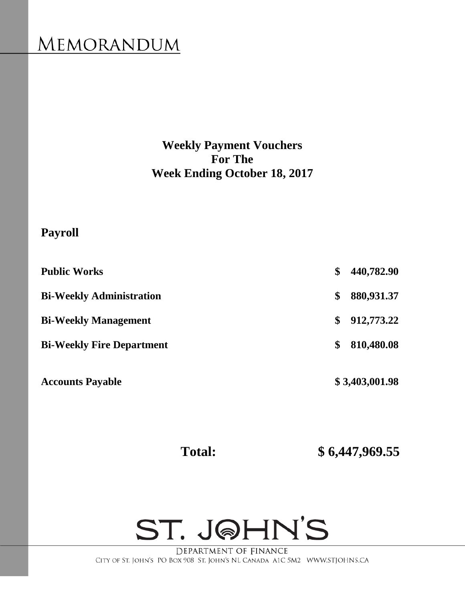# <span id="page-11-0"></span>**MEMORANDUM**

**Weekly Payment Vouchers For The Week Ending October 18, 2017**

# **Payroll**

| <b>Accounts Payable</b>          | \$3,403,001.98   |
|----------------------------------|------------------|
| <b>Bi-Weekly Fire Department</b> | \$<br>810,480.08 |
| <b>Bi-Weekly Management</b>      | \$<br>912,773.22 |
| <b>Bi-Weekly Administration</b>  | \$<br>880,931.37 |
| <b>Public Works</b>              | \$<br>440,782.90 |

 **Total: \$ 6,447,969.55**



DEPARTMENT OF FINANCE CITY OF ST. JOHN'S PO BOX 908 ST. JOHN'S NL CANADA A1C 5M2 WWW.STJOHNS.CA